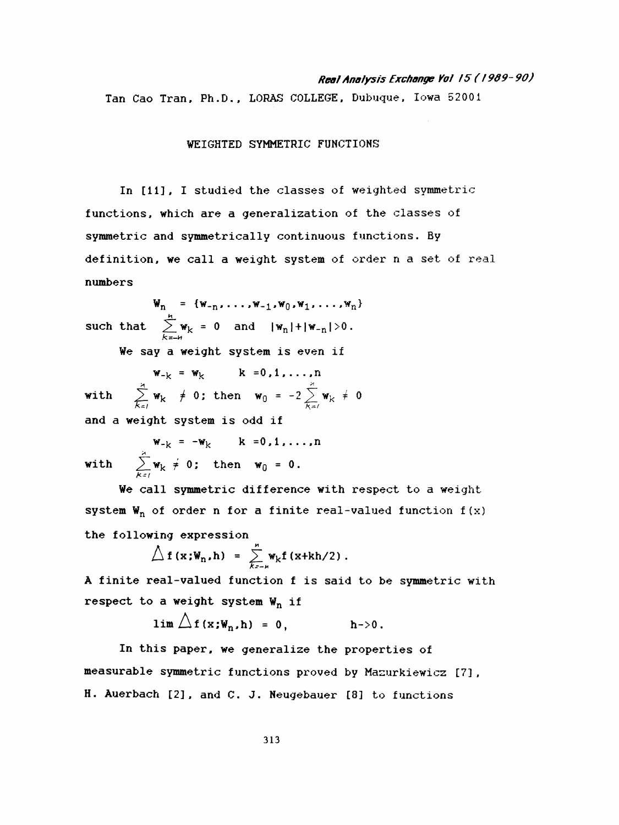## Rea! Analysis Exchange Voi 15 ( I9Õ9-90 )

Tan Cao Tran, Ph.D., LORAS COLLEGE, Dubuque, Iowa 52001

WEIGHTED SYMMETRIC FUNCTIONS

 In [11], I studied the classes of weighted symmetric functions, which are a generalization of the classes of symmetric and symmetrically continuous functions. By definition, we call a weight system of order n a set- of real numbers

 $W_n = \{w_{-n}, \ldots, w_{-1}, w_0, w_1, \ldots, w_n\}$  h. such that  $\angle w_k = 0$  and  $w_1$ 

We say a weight system is even if

such that  $\sum_{k=-N}^{\infty} w_k = 0$  and  $|w_n| + |w_{-n}| > 0$ .<br>
We say a weight system is even if<br>  $w_{-k} = w_k$   $k = 0, 1, ..., n$ <br>
with  $\sum_{k=1}^{\infty} w_k \neq 0$ ; then  $w_0 = -2 \sum_{k=1}^{\infty} w_k \neq 0$  $w_{-k} = w_k$  k =0,1,...,n  $\sum_{k=1}^{n-k} w_k$   $\neq 0$ ; then  $w_0 = -2 \sum_{k=1}^{n}$ and a weight system is odd if

 $\mathbf{w}_{-k} = -\mathbf{w}_k$  k =0,1,...,n with  $\sum_{k=1}^{n} w_k \neq 0$ ; then  $w_0 = 0$ .

We call symmetric difference with respect to a weight system  $W_n$  of order n for a finite real-valued function  $f(x)$ the following expression

$$
\triangle f(\mathbf{x}; \mathbf{W}_n, h) = \sum_{k=-\mu}^n \mathbf{W}_k f(\mathbf{x}+k h/2).
$$

 A finite real-valued function f is said to be symmetric with respect to a weight system  $W_n$  if

$$
\lim_{h \to 0} \bigtriangleup f(x; W_n, h) = 0, \qquad h \to 0.
$$

 In this paper, we generalize the properties of measurable symmetric functions proved by Mazurkiewicz [7] , H. Auerbach [2], and C. J. Neugebauer [8] to functions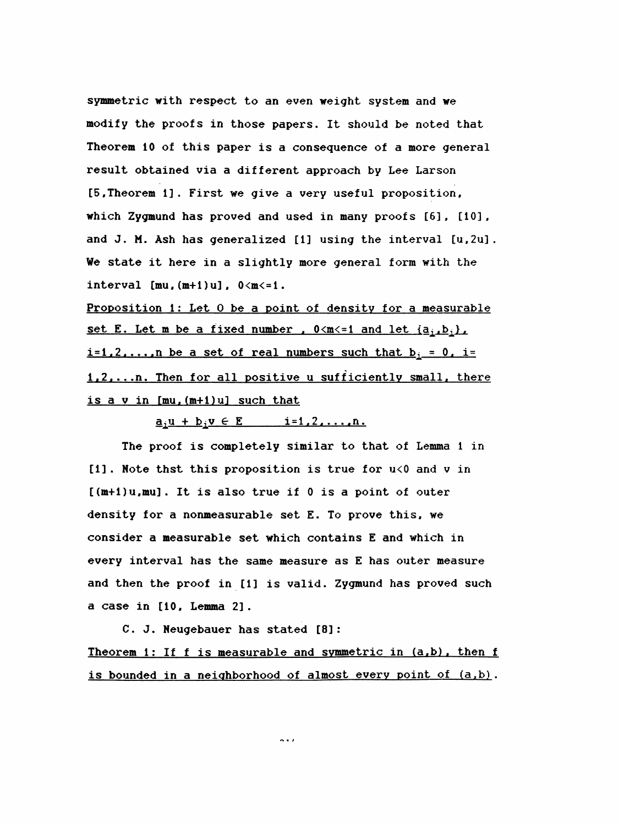symmetric with respect to an even weight system and we modify the proofs in those papers. It should be noted that Theorem 10 of this paper is a consequence of a more general result obtained via a different approach by Lee Larson [5, Theorem 1] . First we give a very useful proposition, which Zygmund has proved and used in many proofs [6] , [10] , and J. M. Ash has generalized [1] using the interval [u,2u] . We state it here in a slightly more general form with the interval  $[mu, (m+1)u]$ ,  $0\leq m\leq 1$ .

Proposition 1: Let 0 be a point of density for a measurable set E. Let m be a fixed number .  $0 \le m \le 1$  and let  $\{a_i, b_i\}$ ,  $i=1,2,\ldots,n$  be a set of real numbers such that  $b_i = 0$ . i= 1.2....n. Then for all positive u sufficiently small, there is a v in [mu.(m+l)ul such that

 $\underline{a}_1 \underline{u} + \underline{b}_1 \underline{v} \in \underline{E}$   $\underline{i} = 1, 2, \ldots, n$ .

 The proof is completely similar to that of Lemma 1 in [1] . Note thst this proposition is true for u<0 and v in [(m+l)u,mu]. It is also true if 0 is a point of outer density for a nonmeasurable set E. To prove this, we consider a measurable set which contains E and which in every interval has the same measure as E has outer measure and then the proof in [1] is valid. Zygmund has proved such a case in [10, Lemma 2] .

 C. J. Neugebauer has stated [8] : Theorem 1: If f is measurable and symmetric in  $(a,b)$ , then f is bounded in a neighborhood of almost every point of (a,b) .

n i /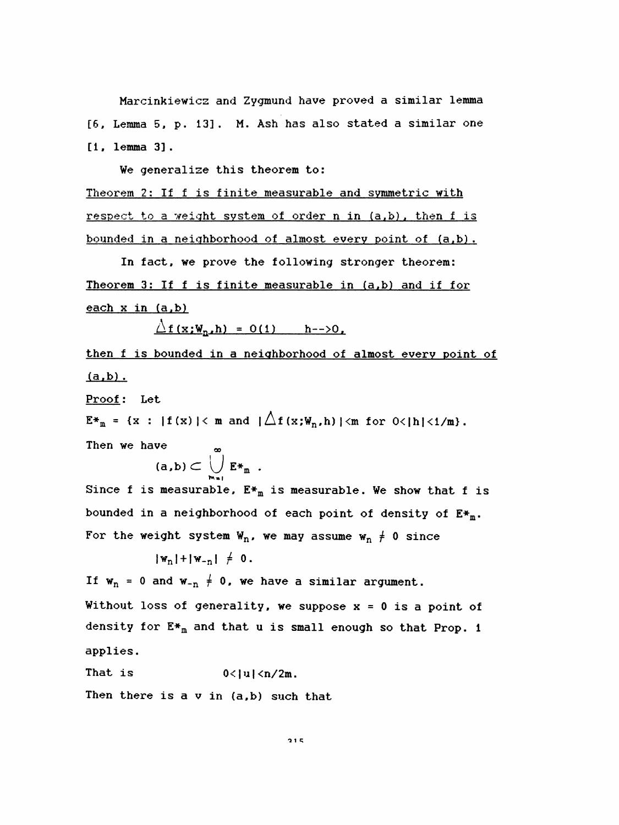Marcinkiewicz and Zygmund have proved a similar lemma [6, Lemma 5, p. 13] . M. Ash has also stated a similar one [1, lemma 3].

We generalize this theorem to:

Theorem 2: If f is finite measurable and symmetric with respect to a weight system of order n in (a.b), then f is bounded in a neighborhood of almost every point of (a.b) .

 In fact, we prove the following stronger theorem: Theorem 3: If f is finite measurable in (a.b) and if for each  $x$  in  $(a, b)$ 

 $\Delta f(x;W_n,h) = O(1)$  h-->0.

 then f is bounded in a neighborhood of almost every point of  $(a,b)$ .

Proof: Let

 $E*_{m} = \{x : |f(x)| \leq m \text{ and } |\bigtriangleup f(x;W_{n},h)| \leq m \text{ for } 0 \leq |h| \leq 1/m \}.$ 

Then we have  $\qquad \qquad \infty$ 

$$
(a,b)\subset \bigcup_{m=1}^{\infty} E*_{m}.
$$

Since f is measurable,  $E_{m}^{*}$  is measurable. We show that f is bounded in a neighborhood of each point of density of  $E^*$ m. For the weight system  $W_n$ , we may assume  $W_n \neq 0$  since

 $|w_n| + |w_{-n}| \neq 0$ .

If  $w_n = 0$  and  $w_{-n} \neq 0$ , we have a similar argument.

Without loss of generality, we suppose  $x = 0$  is a point of density for  $E*_{m}$  and that u is small enough so that Prop. 1 applies.

That is  $0<|u|<\frac{n}{2m}$ .

Then there is a v in (a,b) such that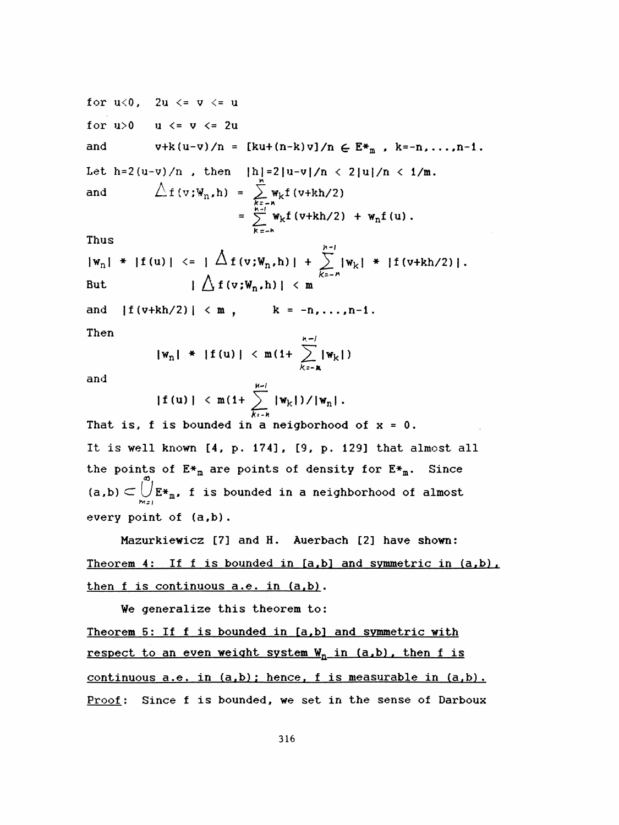for  $u<0$ ,  $2u \le v \le u$ for  $u>0$   $u \le v \le 2u$ and  $v+k(u-v)/n = [ku+(n-k)v]/n \in E*_{m}$ ,  $k=-n, ..., n-1$ . Let h=2(u-v)/n , then  $|h|=2|u-v|/n < 2|u|/n < 1/m$ . for  $u < 0$ ,  $2u < = v < = u$ <br>
for  $u > 0$   $u < = v < = 2u$ <br>
and  $v + k(u-v)/n = [ku+(n-k)v]/n \in E*_{m}$ ,  $k=-n,...,n-1$ .<br>
Let  $h = 2(u-v)/n$ , then  $|h| = 2|u-v|/n < 2|u|/n < 1/m$ .<br>
and  $\triangle f(v;W_{n},h) = \sum_{\substack{k=-n \\ k=-h}}^{\infty} w_{k}f(v+kh/2)$ <br>  $= \sum_{\substack{k=-h \\ k=-h}}^{\infty} w_{k}f(v+kh/$  $h(k(u-v)/n) = [ku]$ <br>()/n, then  $[h]$ <br> $\Lambda f(v;W_n,h) = \sum_{k=1}^{n}$  k:-A  $=$   $\sum$  W<sub>k</sub>f (v+kh/2) + W<sub>n</sub>f (u).

Thus

$$
|w_{n}| + |f(u)| \leq |\bigwedge_{k=-n}^{n} [v_{k}] + \sum_{k=-n}^{n-1} |w_{k}| + |f(v+k)/2|.
$$
  
But  $|\bigwedge_{k=-n}^{n} f(v_{k},h)| < m$ 

K=-H

and  $|f(v+kh/2)| < m$ ,  $k = -n, ..., n-1$ . Then

 $|w_n|$  \* |f (u) | < m(1+  $\sum_{k=n}^{n-l} |w_k|$ )

and

$$
|f(u)| < m(1+\sum_{k+h}^{n-1} |w_k|)/|w_n|.
$$

That is, f is bounded in a neigborhood of  $x = 0$ . It is well known [4, p. 174], [9, p. 129] that almost all the points of  $E_{\pm_m}$  are points of density for  $E_{\pm_m}$ . Since  $\boldsymbol{\infty}$ (a,b)  $\subset \bigcup\limits_{m_{\mathcal{I}}} \mathbb{E} \ast_{\mathtt{m}}$ , f is bounded in a neighborhood of al every point of (a,b) .

 Mazurkiewicz [7] and H. Auerbach [2] have shown: Theorem 4: If f is bounded in  $[a,b]$  and symmetric in  $(a,b)$ . then f is continuous a.e. in (a.b) .

We generalize this theorem to:

Theorem 5: If f is bounded in [a,b] and symmetric with <u>respect to an even weight system  $W_n$  in (a,b), then f is</u> continuous a.e. in (a.b) : hence, f is measurable in (a.b) . Proof: Since f is bounded, we set in the sense of Darboux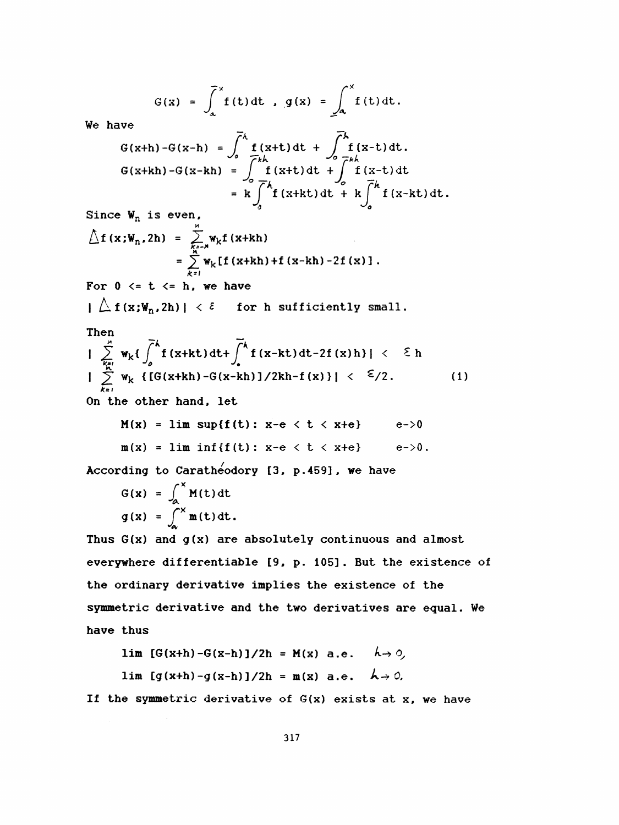$$
G(x) = \int_{a}^{x} f(t) dt, g(x) = \int_{a}^{x} f(t) dt.
$$
  
We have  $\overline{C}^k$ 

$$
G(x+h)-G(x-h) = \int_{0}^{h} f(x+t) dt + \int_{0}^{h} f(x-t) dt.
$$
  
\n
$$
G(x+h)-G(x-h) = \int_{0}^{h} f(x+t) dt + \int_{0}^{h} f(x-t) dt
$$
  
\n
$$
= k \int_{0}^{h} f(x+kt) dt + k \int_{0}^{h} f(x-kt) dt.
$$

Since  $W_n$  is even,

$$
\begin{array}{lcl}\n\bigtriangleup f(x;W_n,2h) &=& \sum_{k=1}^n w_k f(x+kh) \\
&=& \sum_{k=1}^n w_k [f(x+kh)+f(x-kh)-2f(x)]\n\end{array}.
$$

For  $0 \leq t \leq h$ , we have

 $|\bigtriangleup f(x;\mathbf{W}_n,2h)| < \epsilon$  for h sufficiently small.

Then  
\n
$$
\int_{\frac{Kx!}{k!}}^{\infty} w_k \{ \int_{0}^{k} f(x+kt) dt + \int_{0}^{k} f(x-kt) dt - 2f(x)h \} | \langle \xi h
$$
\n
$$
\int_{\frac{Kx!}{k!}}^{\infty} w_k \{ [G(x+kh) - G(x-kh)] / 2kh - f(x) \} | \langle \xi / 2.
$$
\n(1)  
\nOn the other hand, let

$$
M(x) = \lim \sup \{f(t): x-e < t < x+e\} \qquad e \to 0
$$
  
 
$$
m(x) = \lim \inf \{f(t): x-e < t < x+e\} \qquad e \to 0.
$$

According to Caratheodory [3, p.459], we have

$$
G(x) = \int_{a}^{x} M(t) dt
$$
  
 
$$
g(x) = \int_{a}^{x} m(t) dt.
$$

Thus  $G(x)$  and  $g(x)$  are absolutely continuous and almost everywhere differentiable [9, p. 105]. But the existence of the ordinary derivative implies the existence of the symmetric derivative and the two derivatives are equal. We have thus

$$
\lim_{h \to 0} [G(x+h) - G(x-h)]/2h = M(x) \quad a.e. \quad h \to 0,
$$
  

$$
\lim_{h \to 0} [g(x+h) - g(x-h)]/2h = m(x) \quad a.e. \quad h \to 0.
$$

If the symmetric derivative of  $G(x)$  exists at x, we have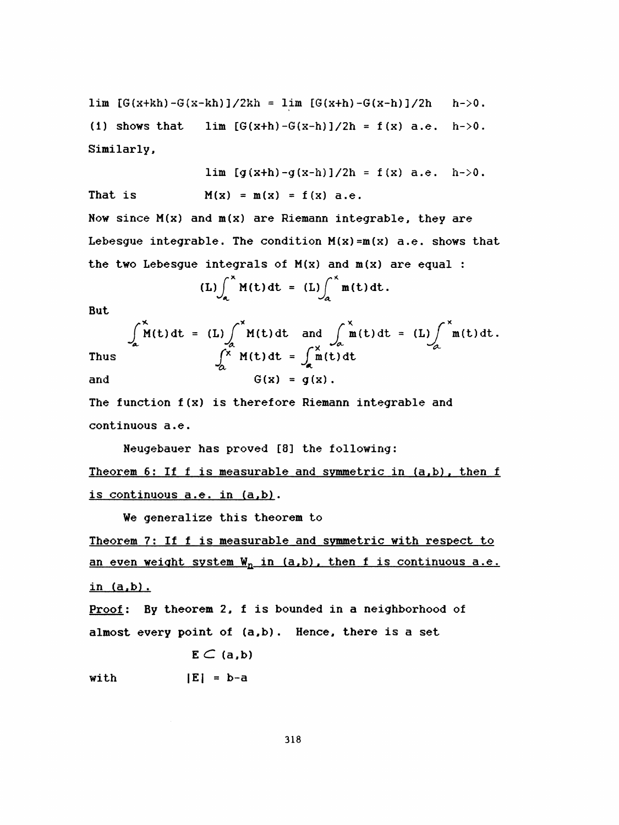lim  $[G(x+kh) - G(x-kh)]/2kh = \lim [G(x+h) - G(x-h)]/2h$  h->0. (1) shows that lim  $[G(x+h) - G(x-h)]/2h = f(x)$  a.e. h->0. Similarly,

lim  $[g(x+h)-g(x-h)]/2h = f(x)$  a.e.  $h\rightarrow 0$ . That is  $M(x) = m(x) = f(x)$  a.e. Now since  $M(x)$  and  $m(x)$  are Riemann integrable, they are

Lebesgue integrable. The condition  $M(x) = m(x)$  a.e. shows that the two Lebesgue integrals of  $M(x)$  and  $m(x)$  are equal :

$$
(L)\int_{a}^{x} M(t) dt = (L)\int_{a}^{x} m(t) dt.
$$

But

But  
\n
$$
\int_{a}^{x} M(t) dt = (L) \int_{\alpha}^{x} M(t) dt \text{ and } \int_{\alpha}^{x} m(t) dt = (L) \int_{\alpha}^{x} m(t) dt.
$$
\nThus  
\n
$$
\int_{\alpha}^{x} M(t) dt = \int_{\alpha}^{x} m(t) dt
$$
\nand  
\n
$$
G(x) = g(x).
$$

 The function f (x) is therefore Riemann integrable and continuous a.e.

Neugebauer has proved [8] the following:

Theorem 6: If f is measurable and symmetric in (a,b), then f is continuous a.e. in (a,b).

We generalize this theorem to

 Theorem 7: If f is measurable and symmetric with respect to an even weight system  $W_n$  in (a,b), then f is continuous a.e. in (a.b) .

Proof: By theorem 2, f is bounded in a neighborhood of almost every point of (a,b) . Hence, there is a set

$$
\mathbf{E}\subset(\mathbf{a},\mathbf{b})
$$

with  $|E| = b-a$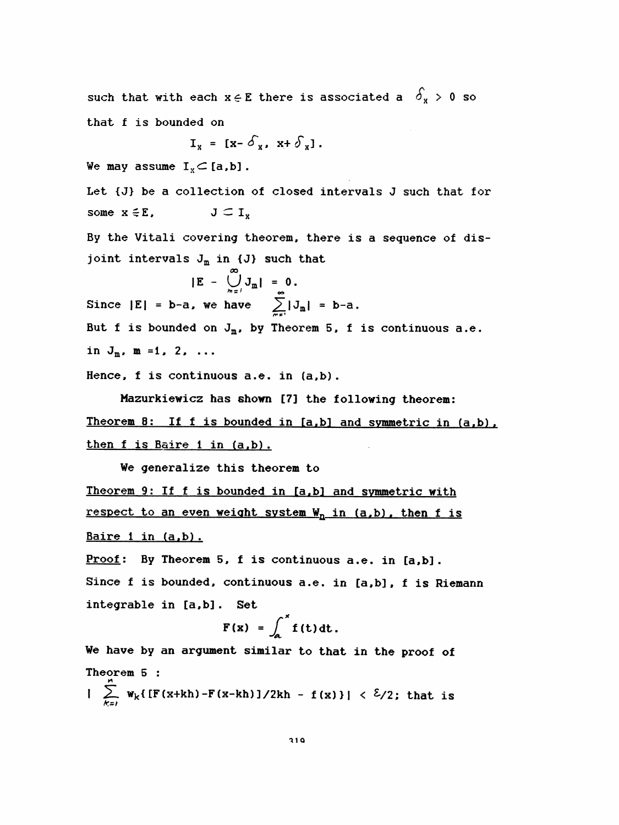such that with each  $x \in E$  there is associated a  $\delta_x > 0$  so that f is bounded on  $I_x = [x - \delta_x, x + \delta_x].$ We may assume  $I_x \subset [a,b]$ . Let {J} be a collection of closed intervals J such that for some  $x \in E$ ,  $J \subset I_v$  By the Vitali covering theorem, there is a sequence of dis joint intervals  $J_m$  in  $\{J\}$  such that  $|E - \bigcup_{m=1}^{N} J_m| = 0.$ Since  $|E| = b-a$ , we have  $\sum_{n=1}^{\infty} |J_m| = b-a$ . But f is bounded on  $J_m$ , by Theorem 5, f is continuous a.e. in  $J_m$ , m =1, 2, ... Hence, f is continuous a.e. in (a,b). Mazurkiewicz has shown [7] the following theorem: Theorem 8: If f is bounded in [a,b] and symmetric in (a,b), then f is Baire 1 in (a,b). We generalize this theorem to Theorem 9: If f is bounded in [a,b] and symmetric with <u>respect to an even weight system  $W_n$  in (a,b), then f is</u> Baire 1 in (a,b). Proof: By Theorem 5, f is continuous a.e. in [a,b]. Since f is bounded, continuous a.e. in [a,b] , f is Riemann integrable in [a,b] . Set  $F(x) = \int_{0}^{x} f(t) dt$ . We have by an argument similar to that in the proof of Theorem 5 : \*

 $\sum_{k=1}$  W<sub>k</sub>{ [F(x+kh) -F(x-kh) ]/2kh - f(x) } | <  $\frac{\epsilon}{2}$  /2; that is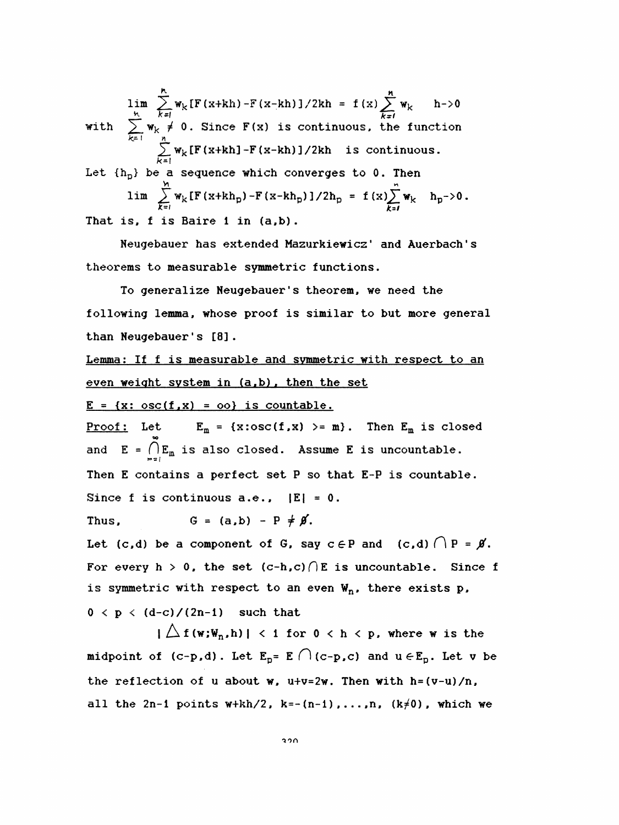$\lim_{k \to \infty}$  W<sub>k</sub> [F(x+kh) -F(x-kh) ]/2kh = f(x)  $\sum_{k}$  W<sub>k</sub> h->0 im  $\sum_{k=1}^{h} w_k [F(x+kh) - F(x-kh)]/2kh = f(x) \sum_{k=1}^{h} w_k \neq 0$ . Since  $F(x)$  is continuous, the A<br>  $\sum_{k=1}^{n} w_k [F (x+kh) - F (x-kh)] / 2kh = f (x) \sum_{k=1}^{n}$ with  $\sum_{k=1}^{\infty} w_k \neq 0$ . Since  $F(x)$  is continuous, the function<br> $\sum_{k=1}^{\infty} w_k [F(x+kh) - F(x-kh)]/2kh$  is continuous. Let  ${h<sub>p</sub>}$  be a sequence which converges to 0. Then lim  $\sum_{k=1}^{h} w_k [F(x+kh) - F(x-kh)]/2kh = f(x) \sum_{k=1}^{h} w_k$  h->0.<br>  $\sum_{k=1}^{h} w_k \neq 0$ . Since  $F(x)$  is continuous, the function<br>  $\sum_{k=1}^{h} w_k [F(x+kh) - F(x-kh)]/2kh$  is continuous.<br>  $\sum_{k=1}^{h} w_k [F(x+kh_p) - F(x-kh_p)]/2h_p = f(x) \sum_{k=1}^{h} w_k$  h<sub>p</sub>->0  $\neq 0$ . Since F(x) is continuous, the<br>  $\frac{1}{2}$  W<sub>k</sub>[F(x+kh]-F(x-kh)]/2kh is continuous,  $\frac{1}{2}$ <br>
a sequence which converges to 0. I lim  $\sum_{k=1}^{n} w_k [F(x+kh_p) - F(x-kh_p)]/2h_p = f(x) \sum_{k=1}^{n} w_k$   $h_p \to 0$ . That is, f is Baire i in (a,b) .

 Heugebauer has extended Mazurkiewicz ' and Auerbach ' s theorems to measurable symmetric functions.

 To generalize Neugebauer 's theorem, we need the following lemma, whose proof is similar to but more general than Neugebauer's [8].

Lemma: If f is measurable and symmetric with respect to an even weight system in (a.b) . then the set

 $E = {x: osc(f,x) = oo}$  is countable.

Proof: Let  $E_m = \{x:\text{osc}(f,x) > m\}$ . Then  $E_m$  is closed and  $E = \bigcap_{m=1}^{\infty} E_m$  is also closed. Assume E is uncountable. Then E contains a perfect set P so that E-P is countable. Since f is continuous  $a.e.,$   $|E| = 0.$ 

Thus,  $G = (a, b) - P \neq \emptyset$ .

Let (c,d) be a component of G, say  $c \in P$  and (c,d)  $\bigcap P = \emptyset$ . For every h > 0, the set  $(c-h,c)$  (E is uncountable. Since f is symmetric with respect to an even  $W_n$ , there exists p,

 $0 \leq p \leq (d-c)/(2n-1)$  such that

 $|\bigtriangleup f(w;\mathbb{W}_n,h)| < 1$  for  $0 < h < p$ , where w is the midpoint of (c-p,d). Let  $E_p = E \cap (c-p, c)$  and  $u \in E_p$ . Let v be the reflection of u about w,  $u+v=2w$ . Then with h=(v-u)/n, all the 2n-1 points  $w+kh/2$ ,  $k=-(n-1)$ ,...,n,  $(k\neq 0)$ , which we

ion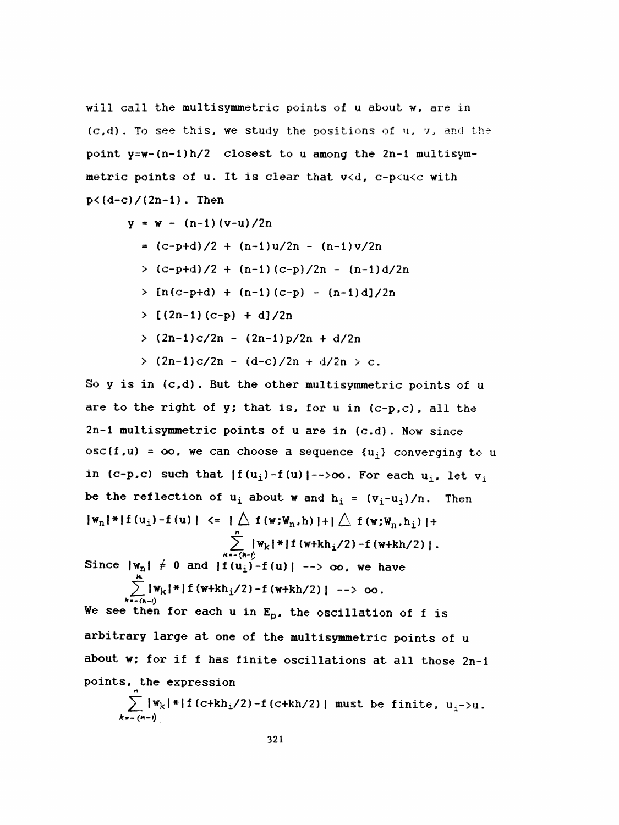will call the multisymmetric points of u about w, are in (c,d) . To see this, we study the positions of u, v, and the point y=w-(n-i)h/2 closest to u among the 2n-i multisym metric points of u. It is clear that v<d, c-p<u<c with  $p < (d-c) / (2n-1)$ . Then

$$
y = w - (n-1) (v-u)/2n
$$

- $= (c-p+d)/2 + (n-1)u/2n (n-1)v/2n$
- $>(c-p+d)/2 + (n-1)(c-p)/2n (n-1)d/2n$
- $\sum$  [n(c-p+d) + (n-1)(c-p) (n-1)d]/2n
- $>$  [(2n-1)(c-p) + d]/2n
- > (2n-i)c/2n (2n-i)p/2n + d/2n
- $>$  (2n-1)c/2n (d-c)/2n + d/2n  $>$  c.

So  $y$  is in  $(c,d)$ . But the other multisymmetric points of  $u$ are to the right of  $y$ ; that is, for  $u$  in  $(c-p, c)$ , all the 2n-l multi symmetric points of u are in (c.d) . Now since  $osc(f, u) = \infty$ , we can choose a sequence  $\{u_i\}$  converging to u in (c-p,c) such that  $|f(u_i)-f(u)| \to \infty$ . For each  $u_i$ , let  $v_i$ be the reflection of  $u_i$  about w and  $h_i = (v_i-u_i)/n$ . Then  $|w_n|$   $|f(u_i) - f(u)| \le | \bigtriangleup f(w; w_n, h) | + | \bigtriangleup f(w; w_n, h_i) | +$  $\sum_{k=1}^{\infty}$  | W<sub>k</sub>| \*| I (w+kh<sub>i</sub>/2) – f (w+kh/2) | . Since  $|\mathbf{w}_n| \neq 0$  and  $|\mathbf{f}(\mathbf{u}_1) - \mathbf{f}(\mathbf{u})|$  -->  $\infty$ , we have  $\angle$   $\left[\frac{W_{k} - 1}{W_{k} - 1}$  (w+kn<sub>1</sub>/2) - f (w+kn/2) | -

We see then for each u in  $E_p$ , the oscillation of f is arbitrary large at one of the multisymmetric points of u about w; for if f has finite oscillations at all those 2n-i points, the expression

$$
\sum_{k=-\frac{(n-i)}{2}} |w_k| * |f(c+kh_1/2) - f(c+kh/2)|
$$
 must be finite,  $u_1 > u$ .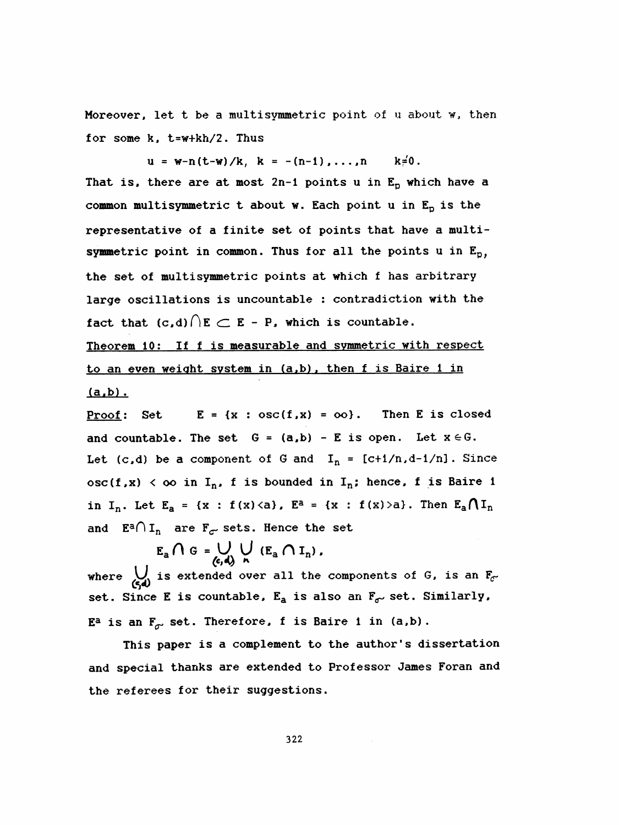Moreover, let t be a multisymmetric point of  $u$  about  $w$ , then for some k, t=w+kh/2. Thus

 $u = w-n(t-w)/k$ ,  $k = -(n-1)$ ,...,  $n$   $k=0$ . That is, there are at most 2n-1 points u in  $E_p$  which have a common multisymmetric t about w. Each point u in  $E_p$  is the representative of a finite set of points that have a multi symmetric point in common. Thus for all the points u in  $E_p$ , the set of multisymmetric points at which f has arbitrary large oscillations is uncountable : contradiction with the fact that  $(c,d) \bigcap E \subset E$  - P, which is countable.

 Theorem 10: If f is measurable and symmetric with respect to an even weight system in (a.b). then f is Baire 1 in  $(a,b)$ .

Proof: Set  $E = \{x : osc(f,x) = oo\}$ . Then E is closed and countable. The set  $G = (a, b) - E$  is open. Let  $x \in G$ . Let (c,d) be a component of G and  $I_n = [c+1/n, d-1/n]$ . Since  $osc(f,x) < \infty$  in I<sub>n</sub>, f is bounded in I<sub>n</sub>; hence, f is Baire 1 in I<sub>n</sub>. Let E<sub>a</sub> = {x : f(x)<a}, E<sup>a</sup> = {x : f(x)>a}. Then E<sub>a</sub> $\bigcap I_n$ and  $E^a \cap I_n$  are  $F_{\sigma}$  sets. Hence the set

$$
E_a \cap G = \bigcup_{(c,d)} \bigcup_{h} (E_a \cap I_n) .
$$

where  $\bigcup_{(s,d)}$  is extended over all the components of G, is an  $F_{\sigma}$ .  $E_A \cap G = \bigcup_{(c,d)} \bigcup_{n} (E_a \cap I_n)$ ,<br>where  $\bigcup_{(c,d)}$  is extended over all the components of G, is an  $F_c$ -<br>set. Since E is countable. E is also an E, set. Similarly.  $\mathcal{L}$ jay set. Since **E** is countable,  $\mathbf{E_{a}}$  is also an  $\mathbf{F_{\sigma^{\prime}}}$  set. Similarly, E<sup>a</sup> is an  $F_{\sigma}$  set. Therefore, f is Baire 1 in (a,b).

 This paper is a complement to the author's dissertation and special thanks are extended to Professor James Foran and the referees for their suggestions.